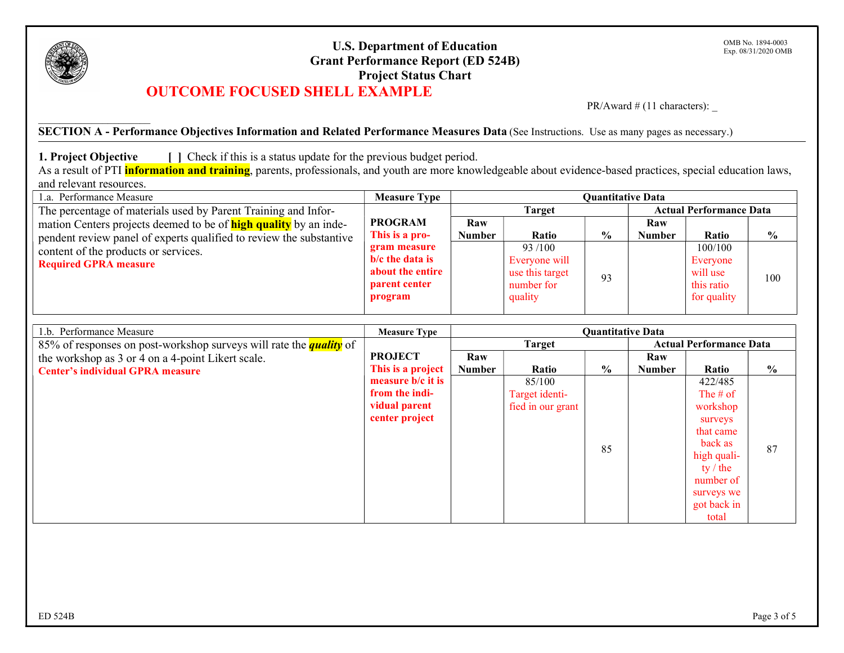

\_\_\_\_\_\_\_\_\_\_\_\_\_\_\_\_\_\_\_\_\_

## U.S. Department of Education Grant Performance Report (ED 524B) Project Status Chart OUTCOME FOCUSED SHELL EXAMPLE

PR/Award  $\#$  (11 characters):

SECTION A - Performance Objectives Information and Related Performance Measures Data (See Instructions. Use as many pages as necessary.)

1. Project Objective [ ] Check if this is a status update for the previous budget period.

As a result of PTI *information and training*, parents, professionals, and youth are more knowledgeable about evidence-based practices, special education laws, and relevant resources.

| 1.a. Performance Measure                                                | <b>Measure Type</b> | <b>Quantitative Data</b> |                 |               |                                |             |               |  |
|-------------------------------------------------------------------------|---------------------|--------------------------|-----------------|---------------|--------------------------------|-------------|---------------|--|
| The percentage of materials used by Parent Training and Infor-          |                     |                          | <b>Target</b>   |               | <b>Actual Performance Data</b> |             |               |  |
| mation Centers projects deemed to be of <b>high quality</b> by an inde- | <b>PROGRAM</b>      | Raw                      |                 |               | Raw                            |             |               |  |
| pendent review panel of experts qualified to review the substantive     | This is a pro-      | Number                   | Ratio           | $\frac{6}{9}$ | <b>Number</b>                  | Ratio       | $\frac{6}{9}$ |  |
| content of the products or services.                                    | gram measure        |                          | 93/100          |               |                                | 100/100     |               |  |
| <b>Required GPRA measure</b>                                            | $b/c$ the data is   |                          | Everyone will   |               |                                | Everyone    |               |  |
|                                                                         | about the entire    |                          | use this target | 93            |                                | will use    | 100           |  |
|                                                                         | parent center       |                          | number for      |               |                                | this ratio  |               |  |
|                                                                         | program             |                          | quality         |               |                                | for quality |               |  |
|                                                                         |                     |                          |                 |               |                                |             |               |  |

| 1.b. Performance Measure                                                  | <b>Measure Type</b>                             | <b>Quantitative Data</b> |                   |               |               |             |               |  |
|---------------------------------------------------------------------------|-------------------------------------------------|--------------------------|-------------------|---------------|---------------|-------------|---------------|--|
| 85% of responses on post-workshop surveys will rate the <i>quality</i> of | <b>Target</b><br><b>Actual Performance Data</b> |                          |                   |               |               |             |               |  |
| the workshop as 3 or 4 on a 4-point Likert scale.                         | <b>PROJECT</b>                                  | Raw                      |                   |               | Raw           |             |               |  |
| <b>Center's individual GPRA measure</b>                                   | This is a project                               | <b>Number</b>            | Ratio             | $\frac{0}{0}$ | <b>Number</b> | Ratio       | $\frac{0}{0}$ |  |
|                                                                           | measure b/c it is                               |                          | 85/100            |               |               | 422/485     |               |  |
|                                                                           | from the indi-                                  |                          | Target identi-    |               |               | The $#$ of  |               |  |
|                                                                           | vidual parent                                   |                          | fied in our grant |               |               | workshop    |               |  |
|                                                                           | center project                                  |                          |                   |               |               | surveys     |               |  |
|                                                                           |                                                 |                          |                   |               |               | that came   |               |  |
|                                                                           |                                                 |                          |                   | 85            |               | back as     | 87            |  |
|                                                                           |                                                 |                          |                   |               |               | high quali- |               |  |
|                                                                           |                                                 |                          |                   |               |               | ty $/$ the  |               |  |
|                                                                           |                                                 |                          |                   |               |               | number of   |               |  |
|                                                                           |                                                 |                          |                   |               |               | surveys we  |               |  |
|                                                                           |                                                 |                          |                   |               |               | got back in |               |  |
|                                                                           |                                                 |                          |                   |               |               | total       |               |  |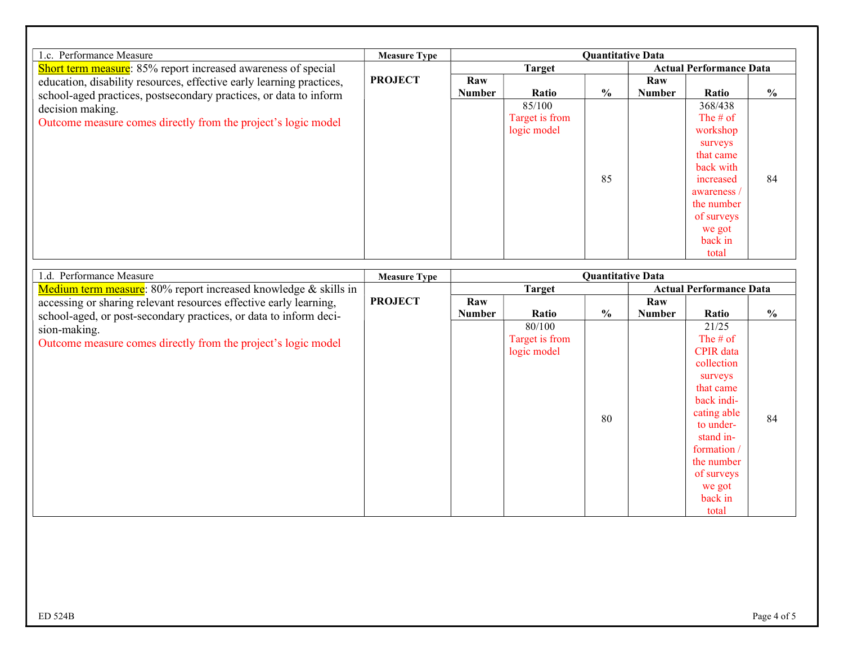| 1.c. Performance Measure                                                                                                                  | <b>Measure Type</b> | <b>Quantitative Data</b> |                |               |                                |             |               |  |
|-------------------------------------------------------------------------------------------------------------------------------------------|---------------------|--------------------------|----------------|---------------|--------------------------------|-------------|---------------|--|
| Short term measure: 85% report increased awareness of special                                                                             | <b>PROJECT</b>      |                          | <b>Target</b>  |               | <b>Actual Performance Data</b> |             |               |  |
| education, disability resources, effective early learning practices,<br>school-aged practices, postsecondary practices, or data to inform |                     | Raw<br><b>Number</b>     | Ratio          | $\frac{6}{9}$ | Raw<br><b>Number</b>           | Ratio       | $\frac{0}{0}$ |  |
| decision making.                                                                                                                          |                     |                          | 85/100         |               |                                | 368/438     |               |  |
| Outcome measure comes directly from the project's logic model                                                                             |                     |                          | Target is from |               |                                | The $#$ of  |               |  |
|                                                                                                                                           |                     |                          | logic model    |               |                                | workshop    |               |  |
|                                                                                                                                           |                     |                          |                |               |                                | surveys     |               |  |
|                                                                                                                                           |                     |                          |                |               |                                | that came   |               |  |
|                                                                                                                                           |                     |                          |                |               |                                | back with   |               |  |
|                                                                                                                                           |                     |                          |                | 85            |                                | increased   | 84            |  |
|                                                                                                                                           |                     |                          |                |               |                                | awareness / |               |  |
|                                                                                                                                           |                     |                          |                |               |                                | the number  |               |  |
|                                                                                                                                           |                     |                          |                |               |                                | of surveys  |               |  |
|                                                                                                                                           |                     |                          |                |               |                                | we got      |               |  |
|                                                                                                                                           |                     |                          |                |               |                                | back in     |               |  |
|                                                                                                                                           |                     |                          |                |               |                                | total       |               |  |

| 1.d. Performance Measure                                          | <b>Measure Type</b> | <b>Quantitative Data</b> |                |                                |               |                  |                |
|-------------------------------------------------------------------|---------------------|--------------------------|----------------|--------------------------------|---------------|------------------|----------------|
| Medium term measure: 80% report increased knowledge & skills in   | <b>Target</b>       |                          |                | <b>Actual Performance Data</b> |               |                  |                |
| accessing or sharing relevant resources effective early learning, | <b>PROJECT</b>      | Raw                      |                |                                | Raw           |                  |                |
| school-aged, or post-secondary practices, or data to inform deci- |                     | <b>Number</b>            | Ratio          | $\frac{6}{9}$                  | <b>Number</b> | Ratio            | $\frac{6}{10}$ |
| sion-making.                                                      |                     |                          | 80/100         |                                |               | 21/25            |                |
| Outcome measure comes directly from the project's logic model     |                     |                          | Target is from |                                |               | The $#$ of       |                |
|                                                                   |                     |                          | logic model    |                                |               | <b>CPIR</b> data |                |
|                                                                   |                     |                          |                |                                |               | collection       |                |
|                                                                   |                     |                          |                |                                |               | surveys          |                |
|                                                                   |                     |                          |                |                                |               | that came        |                |
|                                                                   |                     |                          |                |                                |               | back indi-       |                |
|                                                                   |                     |                          |                | 80                             |               | cating able      | 84             |
|                                                                   |                     |                          |                |                                |               | to under-        |                |
|                                                                   |                     |                          |                |                                |               | stand in-        |                |
|                                                                   |                     |                          |                |                                |               | formation/       |                |
|                                                                   |                     |                          |                |                                |               | the number       |                |
|                                                                   |                     |                          |                |                                |               | of surveys       |                |
|                                                                   |                     |                          |                |                                |               | we got           |                |
|                                                                   |                     |                          |                |                                |               | back in          |                |
|                                                                   |                     |                          |                |                                |               | total            |                |